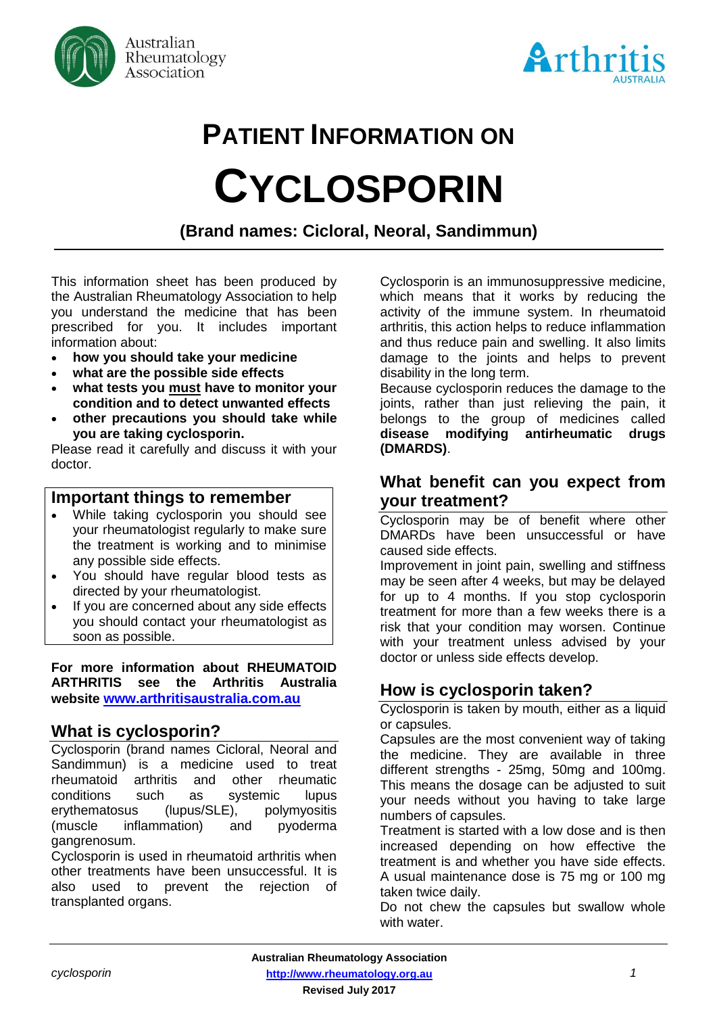



# **PATIENT INFORMATION ON CYCLOSPORIN**

# **(Brand names: Cicloral, Neoral, Sandimmun)**

This information sheet has been produced by the Australian Rheumatology Association to help you understand the medicine that has been prescribed for you. It includes important information about:

- **how you should take your medicine**
- **what are the possible side effects**
- **what tests you must have to monitor your condition and to detect unwanted effects**
- **other precautions you should take while you are taking cyclosporin.**

Please read it carefully and discuss it with your doctor.

#### **Important things to remember**

- While taking cyclosporin you should see your rheumatologist regularly to make sure the treatment is working and to minimise any possible side effects.
- You should have regular blood tests as directed by your rheumatologist.
- If you are concerned about any side effects you should contact your rheumatologist as soon as possible.

**For more information about RHEUMATOID ARTHRITIS see the Arthritis Australia website [www.arthritisaustralia.com.au](http://www.arthritisaustralia.com.au/)**

#### **What is cyclosporin?**

Cyclosporin (brand names Cicloral, Neoral and Sandimmun) is a medicine used to treat rheumatoid arthritis and other rheumatic conditions such as systemic lupus erythematosus (lupus/SLE), polymyositis (muscle inflammation) and pyoderma gangrenosum.

Cyclosporin is used in rheumatoid arthritis when other treatments have been unsuccessful. It is also used to prevent the rejection of transplanted organs.

Cyclosporin is an immunosuppressive medicine, which means that it works by reducing the activity of the immune system. In rheumatoid arthritis, this action helps to reduce inflammation and thus reduce pain and swelling. It also limits damage to the joints and helps to prevent disability in the long term.

Because cyclosporin reduces the damage to the joints, rather than just relieving the pain, it belongs to the group of medicines called **disease modifying antirheumatic drugs (DMARDS)**.

# **What benefit can you expect from your treatment?**

Cyclosporin may be of benefit where other DMARDs have been unsuccessful or have caused side effects.

Improvement in joint pain, swelling and stiffness may be seen after 4 weeks, but may be delayed for up to 4 months. If you stop cyclosporin treatment for more than a few weeks there is a risk that your condition may worsen. Continue with your treatment unless advised by your doctor or unless side effects develop.

# **How is cyclosporin taken?**

Cyclosporin is taken by mouth, either as a liquid or capsules.

Capsules are the most convenient way of taking the medicine. They are available in three different strengths - 25mg, 50mg and 100mg. This means the dosage can be adjusted to suit your needs without you having to take large numbers of capsules.

Treatment is started with a low dose and is then increased depending on how effective the treatment is and whether you have side effects. A usual maintenance dose is 75 mg or 100 mg taken twice daily.

Do not chew the capsules but swallow whole with water.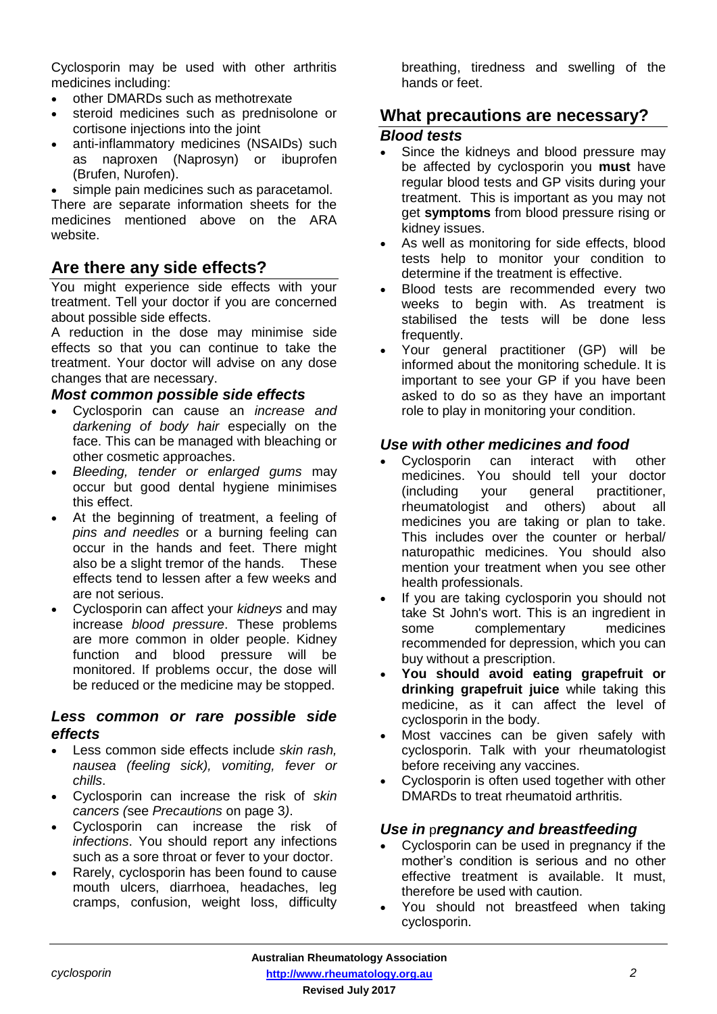Cyclosporin may be used with other arthritis medicines including:

- other DMARDs such as methotrexate
- steroid medicines such as prednisolone or cortisone injections into the joint
- anti-inflammatory medicines (NSAIDs) such as naproxen (Naprosyn) or ibuprofen (Brufen, Nurofen).

simple pain medicines such as paracetamol.

There are separate information sheets for the medicines mentioned above on the ARA website.

# **Are there any side effects?**

You might experience side effects with your treatment. Tell your doctor if you are concerned about possible side effects.

A reduction in the dose may minimise side effects so that you can continue to take the treatment. Your doctor will advise on any dose changes that are necessary.

#### *Most common possible side effects*

- Cyclosporin can cause an *increase and darkening of body hair* especially on the face. This can be managed with bleaching or other cosmetic approaches.
- *Bleeding, tender or enlarged gums* may occur but good dental hygiene minimises this effect.
- At the beginning of treatment, a feeling of *pins and needles* or a burning feeling can occur in the hands and feet. There might also be a slight tremor of the hands. These effects tend to lessen after a few weeks and are not serious.
- Cyclosporin can affect your *kidneys* and may increase *blood pressure*. These problems are more common in older people. Kidney function and blood pressure will be monitored. If problems occur, the dose will be reduced or the medicine may be stopped.

#### *Less common or rare possible side effects*

- Less common side effects include *skin rash, nausea (feeling sick), vomiting, fever or chills*.
- Cyclosporin can increase the risk of *skin cancers (*see *Precautions* on page 3*)*.
- Cyclosporin can increase the risk of *infections*. You should report any infections such as a sore throat or fever to your doctor.
- Rarely, cyclosporin has been found to cause mouth ulcers, diarrhoea, headaches, leg cramps, confusion, weight loss, difficulty

breathing, tiredness and swelling of the hands or feet.

## **What precautions are necessary?**

#### *Blood tests*

- Since the kidneys and blood pressure may be affected by cyclosporin you **must** have regular blood tests and GP visits during your treatment. This is important as you may not get **symptoms** from blood pressure rising or kidney issues.
- As well as monitoring for side effects, blood tests help to monitor your condition to determine if the treatment is effective.
- Blood tests are recommended every two weeks to begin with. As treatment is stabilised the tests will be done less frequently.
- Your general practitioner (GP) will be informed about the monitoring schedule. It is important to see your GP if you have been asked to do so as they have an important role to play in monitoring your condition.

#### *Use with other medicines and food*

- Cyclosporin can interact with other medicines. You should tell your doctor (including your general practitioner, rheumatologist and others) about all medicines you are taking or plan to take. This includes over the counter or herbal/ naturopathic medicines. You should also mention your treatment when you see other health professionals.
- If you are taking cyclosporin you should not take St John's wort. This is an ingredient in some complementary medicines recommended for depression, which you can buy without a prescription.
- **You should avoid eating grapefruit or drinking grapefruit juice** while taking this medicine, as it can affect the level of cyclosporin in the body.
- Most vaccines can be given safely with cyclosporin. Talk with your rheumatologist before receiving any vaccines.
- Cyclosporin is often used together with other DMARDs to treat rheumatoid arthritis.

#### *Use in* p*regnancy and breastfeeding*

- Cyclosporin can be used in pregnancy if the mother's condition is serious and no other effective treatment is available. It must, therefore be used with caution.
- You should not breastfeed when taking cyclosporin.